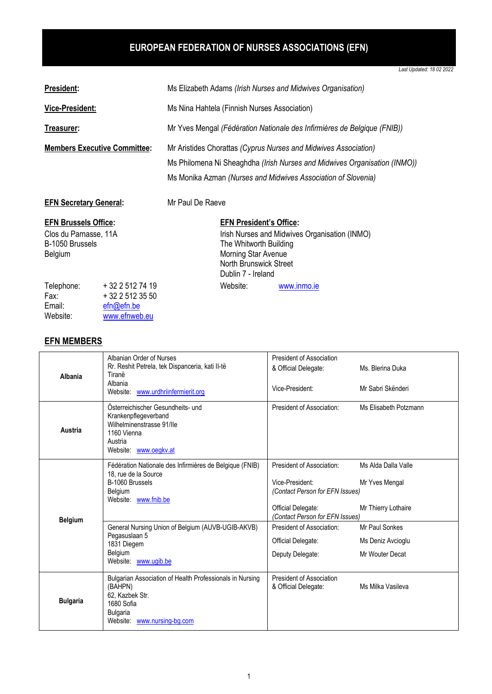## **EUROPEAN FEDERATION OF NURSES ASSOCIATIONS (EFN)**

*Last Updated: 18 02 2022*

| <b>President:</b>                                                                  | Ms Elizabeth Adams (Irish Nurses and Midwives Organisation) |                                                                                                                                                                                                               |                                                                                                                                 |                                               |  |
|------------------------------------------------------------------------------------|-------------------------------------------------------------|---------------------------------------------------------------------------------------------------------------------------------------------------------------------------------------------------------------|---------------------------------------------------------------------------------------------------------------------------------|-----------------------------------------------|--|
| <b>Vice-President:</b>                                                             |                                                             | Ms Nina Hahtela (Finnish Nurses Association)                                                                                                                                                                  |                                                                                                                                 |                                               |  |
| Treasurer:                                                                         |                                                             | Mr Yves Mengal (Fédération Nationale des Infirmières de Belgique (FNIB))                                                                                                                                      |                                                                                                                                 |                                               |  |
| <b>Members Executive Committee:</b>                                                |                                                             | Mr Aristides Chorattas (Cyprus Nurses and Midwives Association)<br>Ms Philomena Ni Sheaghdha (Irish Nurses and Midwives Organisation (INMO))<br>Ms Monika Azman (Nurses and Midwives Association of Slovenia) |                                                                                                                                 |                                               |  |
| <b>EFN Secretary General:</b>                                                      |                                                             | Mr Paul De Raeve                                                                                                                                                                                              |                                                                                                                                 |                                               |  |
| <b>EFN Brussels Office:</b><br>Clos du Parnasse, 11A<br>B-1050 Brussels<br>Belgium |                                                             |                                                                                                                                                                                                               | <b>EFN President's Office:</b><br>The Whitworth Building<br>Morning Star Avenue<br>North Brunswick Street<br>Dublin 7 - Ireland | Irish Nurses and Midwives Organisation (INMO) |  |
| Telephone:<br>Fax:<br>Email:                                                       | $+3225127419$<br>$+3225123550$<br>efn@efn.be                |                                                                                                                                                                                                               | Website:                                                                                                                        | www.inmo.ie                                   |  |

## **EFN MEMBERS**

Email: [efn@efn.be](mailto:efn@efn.be)<br>Website: www.efnweb

[www.efnweb.eu](http://www.efnweb.eu/)

| Albania         | Albanian Order of Nurses<br>Rr. Reshit Petrela, tek Dispanceria, kati II-të<br>Tiranë<br>Albania<br>Website: www.urdhriinfermierit.org                 | President of Association<br>& Official Delegate:<br>Vice-President:                                                                      | Ms. Blerina Duka<br>Mr Sabri Skënderi                        |
|-----------------|--------------------------------------------------------------------------------------------------------------------------------------------------------|------------------------------------------------------------------------------------------------------------------------------------------|--------------------------------------------------------------|
| Austria         | Österreichischer Gesundheits- und<br>Krankenpflegeverband<br>Wilhelminenstrasse 91/IIe<br>1160 Vienna<br>Austria<br>Website: www.oegkv.at              | President of Association:                                                                                                                | Ms Elisabeth Potzmann                                        |
| <b>Belgium</b>  | Fédération Nationale des Infirmières de Belgique (FNIB)<br>18. rue de la Source<br>B-1060 Brussels<br><b>Belgium</b><br>Website: www.fnib.be           | President of Association:<br>Vice-President:<br>(Contact Person for EFN Issues)<br>Official Delegate:<br>(Contact Person for EFN Issues) | Ms Alda Dalla Valle<br>Mr Yves Mengal<br>Mr Thierry Lothaire |
|                 | General Nursing Union of Belgium (AUVB-UGIB-AKVB)<br>Pegasuslaan 5<br>1831 Diegem<br>Belgium<br>Website: www.ugib.be                                   | President of Association:<br>Official Delegate:<br>Deputy Delegate:                                                                      | Mr Paul Sonkes<br>Ms Deniz Avcioglu<br>Mr Wouter Decat       |
| <b>Bulgaria</b> | Bulgarian Association of Health Professionals in Nursing<br>(BAHPN)<br>62. Kazbek Str.<br>1680 Sofia<br><b>Bulgaria</b><br>Website: www.nursing-bg.com | President of Association<br>& Official Delegate:                                                                                         | Ms Milka Vasileva                                            |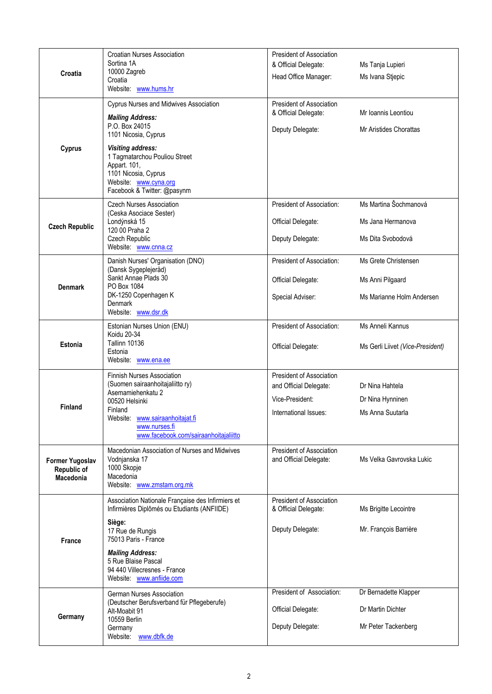| Croatia                                            | <b>Croatian Nurses Association</b><br>Sortina 1A<br>10000 Zagreb<br>Croatia<br>Website: www.hums.hr                                                                                                                                                                      | President of Association<br>& Official Delegate:<br>Head Office Manager:                       | Ms Tanja Lupieri<br>Ms Ivana Stjepic                                  |
|----------------------------------------------------|--------------------------------------------------------------------------------------------------------------------------------------------------------------------------------------------------------------------------------------------------------------------------|------------------------------------------------------------------------------------------------|-----------------------------------------------------------------------|
| Cyprus                                             | Cyprus Nurses and Midwives Association<br><b>Mailing Address:</b><br>P.O. Box 24015<br>1101 Nicosia, Cyprus<br><b>Visiting address:</b><br>1 Tagmatarchou Pouliou Street<br>Appart. 101,<br>1101 Nicosia, Cyprus<br>Website: www.cyna.org<br>Facebook & Twitter: @pasynm | President of Association<br>& Official Delegate:<br>Deputy Delegate:                           | Mr Ioannis Leontiou<br>Mr Aristides Chorattas                         |
| <b>Czech Republic</b>                              | <b>Czech Nurses Association</b><br>(Ceska Asociace Sester)<br>Londýnská 15<br>120 00 Praha 2<br><b>Czech Republic</b><br>Website: www.cnna.cz                                                                                                                            | President of Association:<br>Official Delegate:<br>Deputy Delegate:                            | Ms Martina Šochmanová<br>Ms Jana Hermanova<br>Ms Dita Svobodová       |
| <b>Denmark</b>                                     | Danish Nurses' Organisation (DNO)<br>(Dansk Sygeplejeråd)<br>Sankt Annae Plads 30<br>PO Box 1084<br>DK-1250 Copenhagen K<br><b>Denmark</b><br>Website: www.dsr.dk                                                                                                        | President of Association:<br>Official Delegate:<br>Special Adviser:                            | Ms Grete Christensen<br>Ms Anni Pilgaard<br>Ms Marianne Holm Andersen |
| <b>Estonia</b>                                     | Estonian Nurses Union (ENU)<br>Koidu 20-34<br><b>Tallinn 10136</b><br>Estonia<br>Website: www.ena.ee                                                                                                                                                                     | President of Association:<br>Official Delegate:                                                | Ms Anneli Kannus<br>Ms Gerli Liivet (Vice-President)                  |
| <b>Finland</b>                                     | Finnish Nurses Association<br>(Suomen sairaanhoitajaliitto ry)<br>Asemamiehenkatu 2<br>00520 Helsinki<br>Finland<br>www.sairaanhoitajat.fi<br>Website:<br>www.nurses.fi<br>www.facebook.com/sairaanhoitajaliitto                                                         | President of Association<br>and Official Delegate:<br>Vice-President:<br>International Issues: | Dr Nina Hahtela<br>Dr Nina Hynninen<br>Ms Anna Suutarla               |
| <b>Former Yugoslav</b><br>Republic of<br>Macedonia | Macedonian Association of Nurses and Midwives<br>Vodnjanska 17<br>1000 Skopje<br>Macedonia<br>Website: www.zmstam.org.mk                                                                                                                                                 | President of Association<br>and Official Delegate:                                             | Ms Velka Gavrovska Lukic                                              |
| France                                             | Association Nationale Française des Infirmiers et<br>Infirmières Diplômés ou Etudiants (ANFIIDE)<br>Siège:<br>17 Rue de Rungis<br>75013 Paris - France<br><b>Mailing Address:</b><br>5 Rue Blaise Pascal<br>94 440 Villecresnes - France<br>Website: www.anfiide.com     | President of Association<br>& Official Delegate:<br>Deputy Delegate:                           | Ms Brigitte Lecointre<br>Mr. François Barrière                        |
| Germany                                            | <b>German Nurses Association</b><br>(Deutscher Berufsverband für Pflegeberufe)<br>Alt-Moabit 91<br>10559 Berlin<br>Germany<br>Website:<br>www.dbfk.de                                                                                                                    | President of Association:<br>Official Delegate:<br>Deputy Delegate:                            | Dr Bernadette Klapper<br>Dr Martin Dichter<br>Mr Peter Tackenberg     |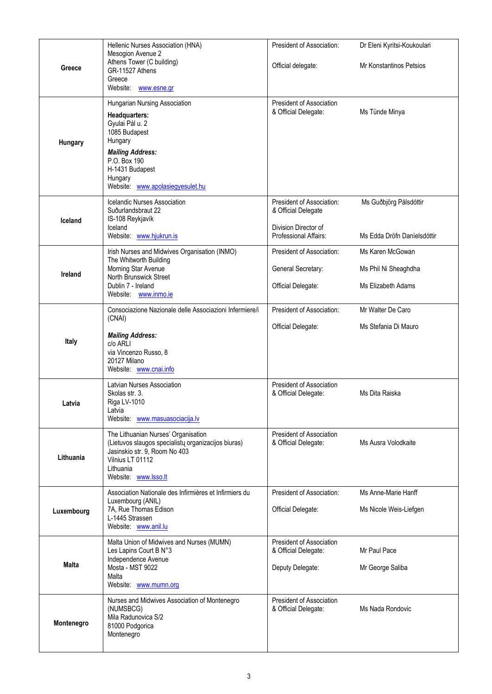|              | Hellenic Nurses Association (HNA)                                                                                                                                                                          | President of Association:                                                                         | Dr Eleni Kyritsi-Koukoulari                                    |
|--------------|------------------------------------------------------------------------------------------------------------------------------------------------------------------------------------------------------------|---------------------------------------------------------------------------------------------------|----------------------------------------------------------------|
| Greece       | Mesogion Avenue 2<br>Athens Tower (C building)<br>GR-11527 Athens<br>Greece<br>Website: www.esne.gr                                                                                                        | Official delegate:                                                                                | <b>Mr Konstantinos Petsios</b>                                 |
| Hungary      | Hungarian Nursing Association<br>Headquarters:<br>Gyulai Pál u. 2<br>1085 Budapest<br>Hungary<br><b>Mailing Address:</b><br>P.O. Box 190<br>H-1431 Budapest<br>Hungary<br>Website: www.apolasiegyesulet.hu | President of Association<br>& Official Delegate:                                                  | Ms Tünde Minya                                                 |
| Iceland      | <b>Icelandic Nurses Association</b><br>Suðurlandsbraut 22<br>IS-108 Reykjavík<br>Iceland<br>Website: www.hjukrun.is                                                                                        | President of Association:<br>& Official Delegate<br>Division Director of<br>Professional Affairs: | Ms Guðbjörg Pálsdóttir<br>Ms Edda Dröfn Daníelsdóttir          |
| Ireland      | Irish Nurses and Midwives Organisation (INMO)<br>The Whitworth Building<br>Morning Star Avenue<br>North Brunswick Street<br>Dublin 7 - Ireland<br>Website: www.inmo.ie                                     | President of Association:<br>General Secretary:<br>Official Delegate:                             | Ms Karen McGowan<br>Ms Phil Ni Sheaghdha<br>Ms Elizabeth Adams |
| Italy        | Consociazione Nazionale delle Associazioni Infermiere/i<br>(CNAI)<br><b>Mailing Address:</b><br>c/o ARLI<br>via Vincenzo Russo, 8<br>20127 Milano<br>Website: www.cnai.info                                | President of Association:<br>Official Delegate:                                                   | Mr Walter De Caro<br>Ms Stefania Di Mauro                      |
| Latvia       | <b>Latvian Nurses Association</b><br>Skolas str. 3.<br>Riga LV-1010<br>Latvia<br>Website: www.masuasociacija.lv                                                                                            | President of Association<br>& Official Delegate:                                                  | Ms Dita Raiska                                                 |
| Lithuania    | The Lithuanian Nurses' Organisation<br>(Lietuvos slaugos specialistų organizacijos biuras)<br>Jasinskio str. 9, Room No 403<br>Vilnius LT 01112<br>Lithuania<br>Website: www.lsso.lt                       | President of Association<br>& Official Delegate:                                                  | Ms Ausra Volodkaite                                            |
| Luxembourg   | Association Nationale des Infirmières et Infirmiers du<br>Luxembourg (ANIL)<br>7A, Rue Thomas Edison<br>L-1445 Strassen<br>Website: www.anil.lu                                                            | President of Association:<br>Official Delegate:                                                   | Ms Anne-Marie Hanff<br>Ms Nicole Weis-Liefgen                  |
| <b>Malta</b> | Malta Union of Midwives and Nurses (MUMN)<br>Les Lapins Court B N°3<br>Independence Avenue<br>Mosta - MST 9022<br>Malta<br>Website: www.mumn.org                                                           | President of Association<br>& Official Delegate:<br>Deputy Delegate:                              | Mr Paul Pace<br>Mr George Saliba                               |
| Montenegro   | Nurses and Midwives Association of Montenegro<br>(NUMSBCG)<br>Mila Radunovica S/2<br>81000 Podgorica<br>Montenegro                                                                                         | <b>President of Association</b><br>& Official Delegate:                                           | Ms Nada Rondovic                                               |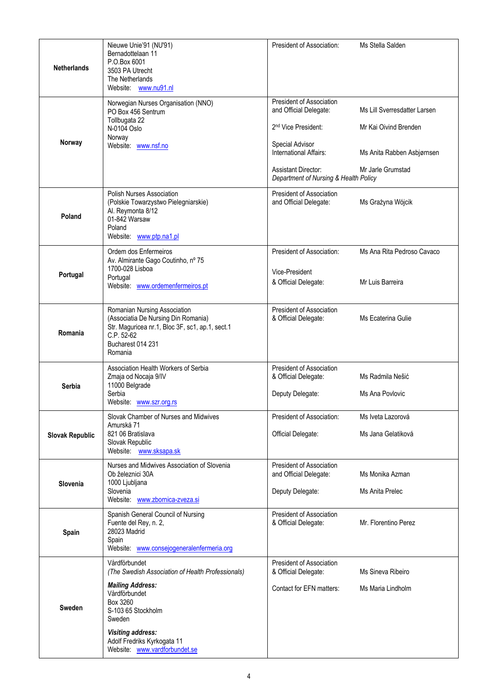| <b>Netherlands</b>     | Nieuwe Unie'91 (NU'91)<br>Bernadottelaan 11<br>P.O.Box 6001<br>3503 PA Utrecht<br>The Netherlands<br>Website: www.nu91.nl                                                              | President of Association:                                                                                        | Ms Stella Salden                                      |
|------------------------|----------------------------------------------------------------------------------------------------------------------------------------------------------------------------------------|------------------------------------------------------------------------------------------------------------------|-------------------------------------------------------|
|                        | Norwegian Nurses Organisation (NNO)<br>PO Box 456 Sentrum<br>Tollbugata 22<br>N-0104 Oslo<br>Norway                                                                                    | President of Association<br>and Official Delegate:<br>2 <sup>nd</sup> Vice President:                            | Ms Lill Sverresdatter Larsen<br>Mr Kai Oivind Brenden |
| Norway                 | Website: www.nsf.no                                                                                                                                                                    | Special Advisor<br>International Affairs:<br><b>Assistant Director:</b><br>Department of Nursing & Health Policy | Ms Anita Rabben Asbjørnsen<br>Mr Jarle Grumstad       |
| Poland                 | <b>Polish Nurses Association</b><br>(Polskie Towarzystwo Pielegniarskie)<br>Al. Reymonta 8/12<br>01-842 Warsaw<br>Poland<br>Website: www.ptp.na1.pl                                    | President of Association<br>and Official Delegate:                                                               | Ms Grażyna Wójcik                                     |
| Portugal               | Ordem dos Enfermeiros<br>Av. Almirante Gago Coutinho, nº 75<br>1700-028 Lisboa<br>Portugal<br>Website: www.ordemenfermeiros.pt                                                         | President of Association:<br>Vice-President<br>& Official Delegate:                                              | Ms Ana Rita Pedroso Cavaco<br>Mr Luis Barreira        |
| Romania                | Romanian Nursing Association<br>(Associatia De Nursing Din Romania)<br>Str. Maguricea nr.1, Bloc 3F, sc1, ap.1, sect.1<br>C.P. 52-62<br>Bucharest 014 231<br>Romania                   | President of Association<br>& Official Delegate:                                                                 | Ms Ecaterina Gulie                                    |
| <b>Serbia</b>          | Association Health Workers of Serbia<br>Zmaja od Nocaja 9/IV<br>11000 Belgrade<br>Serbia<br>Website: www.szr.org.rs                                                                    | President of Association<br>& Official Delegate:<br>Deputy Delegate:                                             | Ms Radmila Nešić<br>Ms Ana Povlovic                   |
| <b>Slovak Republic</b> | Slovak Chamber of Nurses and Midwives<br>Amurská 71<br>821 06 Bratislava<br>Slovak Republic<br>Website: www.sksapa.sk                                                                  | President of Association:<br>Official Delegate:                                                                  | Ms Iveta Lazorová<br>Ms Jana Gelatiková               |
| Slovenia               | Nurses and Midwives Association of Slovenia<br>Ob železnici 30A<br>1000 Ljubljana<br>Slovenia<br>Website: www.zbornica-zveza.si                                                        | President of Association<br>and Official Delegate:<br>Deputy Delegate:                                           | Ms Monika Azman<br>Ms Anita Prelec                    |
| Spain                  | Spanish General Council of Nursing<br>Fuente del Rey, n. 2,<br>28023 Madrid<br>Spain<br>Website: www.consejogeneralenfermeria.org                                                      | President of Association<br>& Official Delegate:                                                                 | Mr. Florentino Perez                                  |
| <b>Sweden</b>          | Vårdförbundet<br>(The Swedish Association of Health Professionals)<br><b>Mailing Address:</b><br>Vårdförbundet<br>Box 3260<br>S-103 65 Stockholm<br>Sweden<br><b>Visiting address:</b> | <b>President of Association</b><br>& Official Delegate:<br>Contact for EFN matters:                              | Ms Sineva Ribeiro<br>Ms Maria Lindholm                |
|                        | Adolf Fredriks Kyrkogata 11<br>Website: www.vardforbundet.se                                                                                                                           |                                                                                                                  |                                                       |